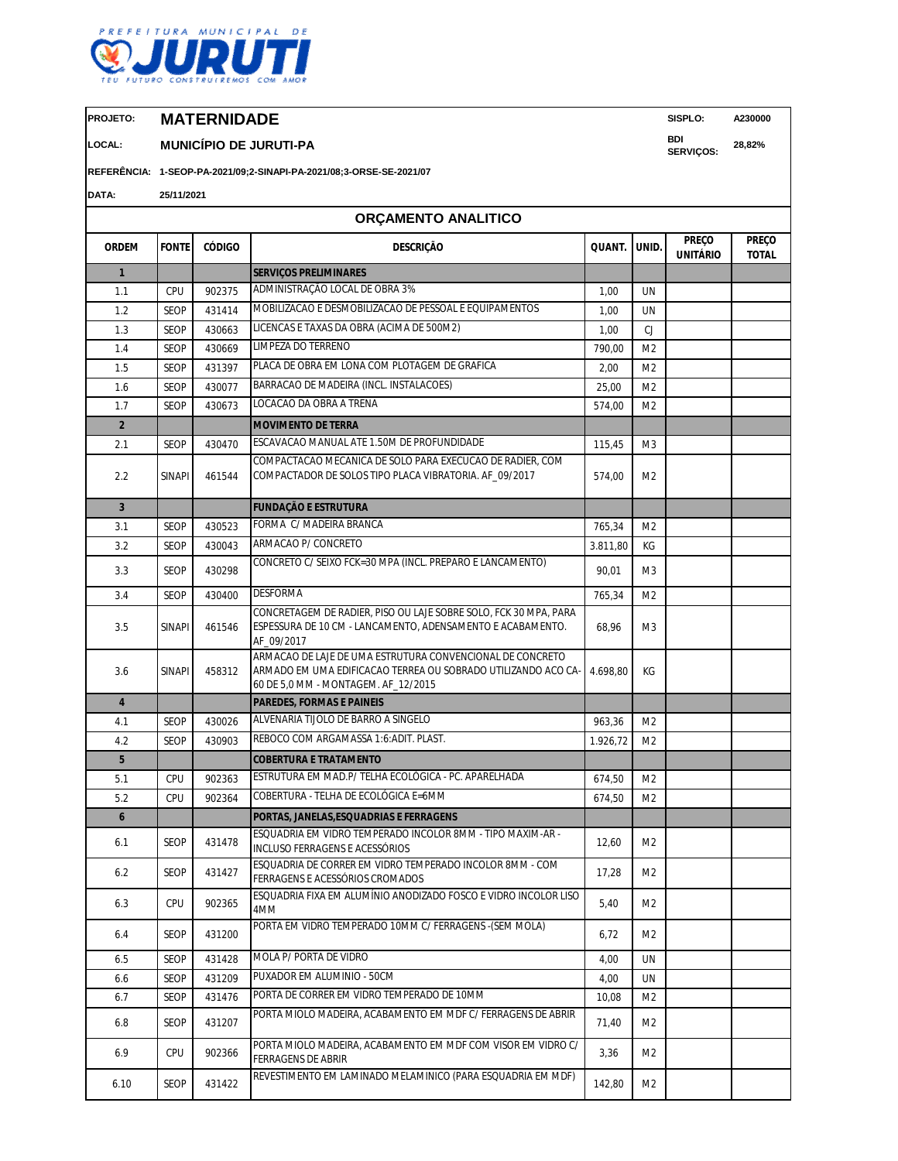

**PROJETO: MATERNIDADE SISPLO: A230000**

6.10 SEOP 431422

**LOCAL: MUNICÍPIO DE JURUTI-PA BDI** 

**REFERÊNCIA: 1-SEOP-PA-2021/09;2-SINAPI-PA-2021/08;3-ORSE-SE-2021/07**

**DATA: 25/11/2021**

|                         |               |               | ORÇAMENTO ANALITICO                                                                                                                                               |          |                |                                 |                              |
|-------------------------|---------------|---------------|-------------------------------------------------------------------------------------------------------------------------------------------------------------------|----------|----------------|---------------------------------|------------------------------|
| <b>ORDEM</b>            | <b>FONTE</b>  | <b>CÓDIGO</b> | <b>DESCRIÇÃO</b>                                                                                                                                                  | QUANT.   | UNID.          | <b>PREÇO</b><br><b>UNITÁRIO</b> | <b>PREÇO</b><br><b>TOTAL</b> |
| $\mathbf{1}$            |               |               | <b>SERVIÇOS PRELIMINARES</b>                                                                                                                                      |          |                |                                 |                              |
| 1.1                     | CPU           | 902375        | ADMINISTRAÇÃO LOCAL DE OBRA 3%                                                                                                                                    | 1,00     | UN             |                                 |                              |
| 1.2                     | <b>SEOP</b>   | 431414        | MOBILIZACAO E DESMOBILIZACAO DE PESSOAL E EQUIPAMENTOS                                                                                                            | 1,00     | <b>UN</b>      |                                 |                              |
| 1.3                     | SEOP          | 430663        | LICENCAS E TAXAS DA OBRA (ACIMA DE 500M2)                                                                                                                         | 1,00     | CJ             |                                 |                              |
| 1.4                     | <b>SEOP</b>   | 430669        | LIMPEZA DO TERRENO                                                                                                                                                | 790,00   | M <sub>2</sub> |                                 |                              |
| 1.5                     | SEOP          | 431397        | PLACA DE OBRA EM LONA COM PLOTAGEM DE GRAFICA                                                                                                                     | 2,00     | M <sub>2</sub> |                                 |                              |
| 1.6                     | SEOP          | 430077        | BARRACAO DE MADEIRA (INCL. INSTALACOES)                                                                                                                           | 25,00    | M <sub>2</sub> |                                 |                              |
| 1.7                     | SEOP          | 430673        | LOCACAO DA OBRA A TRENA                                                                                                                                           | 574,00   | M <sub>2</sub> |                                 |                              |
| $\overline{2}$          |               |               | <b>MOVIMENTO DE TERRA</b>                                                                                                                                         |          |                |                                 |                              |
| 2.1                     | SEOP          | 430470        | ESCAVACAO MANUAL ATE 1.50M DE PROFUNDIDADE                                                                                                                        | 115,45   | M <sub>3</sub> |                                 |                              |
| 2.2                     | <b>SINAPI</b> | 461544        | COMPACTACAO MECANICA DE SOLO PARA EXECUCAO DE RADIER, COM<br>COMPACTADOR DE SOLOS TIPO PLACA VIBRATORIA. AF_09/2017                                               | 574,00   | M <sub>2</sub> |                                 |                              |
| $\overline{\mathbf{3}}$ |               |               | <b>FUNDAÇÃO E ESTRUTURA</b>                                                                                                                                       |          |                |                                 |                              |
| 3.1                     | SEOP          | 430523        | FORMA C/ MADEIRA BRANCA                                                                                                                                           | 765,34   | M <sub>2</sub> |                                 |                              |
| 3.2                     | SEOP          | 430043        | ARMACAO P/ CONCRETO                                                                                                                                               | 3.811,80 | КG             |                                 |                              |
| 3.3                     | SEOP          | 430298        | CONCRETO C/ SEIXO FCK=30 MPA (INCL. PREPARO E LANCAMENTO)                                                                                                         | 90,01    | M3             |                                 |                              |
| 3.4                     | SEOP          | 430400        | <b>DESFORMA</b>                                                                                                                                                   | 765,34   | M <sub>2</sub> |                                 |                              |
| 3.5                     | <b>SINAPI</b> | 461546        | CONCRETAGEM DE RADIER, PISO OU LAJE SOBRE SOLO, FCK 30 MPA, PARA<br>ESPESSURA DE 10 CM - LANCAMENTO, ADENSAMENTO E ACABAMENTO.<br>AF_09/2017                      | 68,96    | M3             |                                 |                              |
| 3.6                     | <b>SINAPI</b> | 458312        | ARMACAO DE LAJE DE UMA ESTRUTURA CONVENCIONAL DE CONCRETO<br>ARMADO EM UMA EDIFICACAO TERREA OU SOBRADO UTILIZANDO ACO CA-<br>60 DE 5,0 MM - MONTAGEM. AF_12/2015 | 4.698,80 | КG             |                                 |                              |
| $\overline{4}$          |               |               | <b>PAREDES, FORMAS E PAINEIS</b>                                                                                                                                  |          |                |                                 |                              |
| 4.1                     | SEOP          | 430026        | ALVENARIA TIJOLO DE BARRO A SINGELO                                                                                                                               | 963,36   | M2             |                                 |                              |
| 4.2                     | SEOP          | 430903        | REBOCO COM ARGAMASSA 1:6:ADIT. PLAST.                                                                                                                             | 1.926,72 | M <sub>2</sub> |                                 |                              |
| $5\phantom{.0}$         |               |               | <b>COBERTURA E TRATAMENTO</b>                                                                                                                                     |          |                |                                 |                              |
| 5.1                     | CPU           | 902363        | ESTRUTURA EM MAD.P/ TELHA ECOLÓGICA - PC. APARELHADA                                                                                                              | 674,50   | M <sub>2</sub> |                                 |                              |
| 5.2                     | CPU           | 902364        | COBERTURA - TELHA DE ECOLÓGICA E=6MM                                                                                                                              | 674,50   | M <sub>2</sub> |                                 |                              |
| $\boldsymbol{6}$        |               |               | PORTAS, JANELAS,ESQUADRIAS E FERRAGENS                                                                                                                            |          |                |                                 |                              |
| 6.1                     | <b>SEOP</b>   | 431478        | ESQUADRIA EM VIDRO TEMPERADO INCOLOR 8MM - TIPO MAXIM-AR -<br>INCLUSO FERRAGENS E ACESSÓRIOS                                                                      | 12,60    | M <sub>2</sub> |                                 |                              |
| 6.2                     | SEOP          | 431427        | ESQUADRIA DE CORRER EM VIDRO TEMPERADO INCOLOR 8MM - COM<br>FERRAGENS E ACESSÓRIOS CROMADOS                                                                       | 17,28    | M2             |                                 |                              |
| 6.3                     | CPU           | 902365        | ESQUADRIA FIXA EM ALUMÍNIO ANODIZADO FOSCO E VIDRO INCOLOR LISO<br>4MM                                                                                            | 5,40     | M2             |                                 |                              |
| 6.4                     | SEOP          | 431200        | PORTA EM VIDRO TEMPERADO 10MM C/ FERRAGENS -(SEM MOLA)                                                                                                            | 6,72     | M2             |                                 |                              |
| 6.5                     | SEOP          | 431428        | MOLA P/ PORTA DE VIDRO                                                                                                                                            | 4,00     | UN             |                                 |                              |
| 6.6                     | SEOP          | 431209        | PUXADOR EM ALUMINIO - 50CM                                                                                                                                        | 4,00     | UN             |                                 |                              |
| 6.7                     | SEOP          | 431476        | PORTA DE CORRER EM VIDRO TEMPERADO DE 10MM                                                                                                                        | 10,08    | M2             |                                 |                              |
| 6.8                     | SEOP          | 431207        | PORTA MIOLO MADEIRA, ACABAMENTO EM MDF C/ FERRAGENS DE ABRIR                                                                                                      | 71,40    | M2             |                                 |                              |
| 6.9                     | CPU           | 902366        | PORTA MIOLO MADEIRA, ACABAMENTO EM MDF COM VISOR EM VIDRO C/<br>FERRAGENS DE ABRIR                                                                                | 3,36     | M2             |                                 |                              |

REVESTIMENTO EM LAMINADO MELAMINICO (PARA ESQUADRIA EM MDF)

142,80 M2

**SERVIÇOS: 28,82%**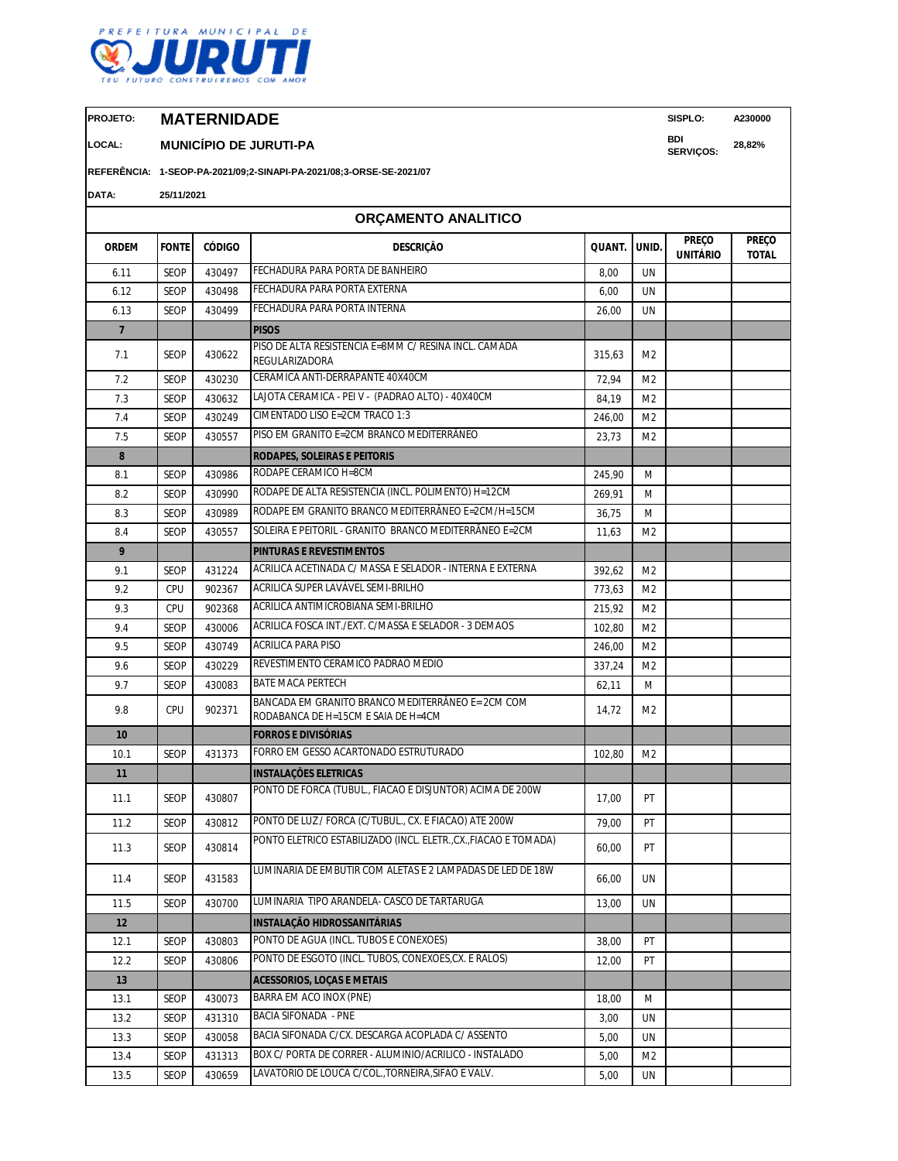

**PROJETO: MATERNIDADE SISPLO: A230000**

**LOCAL: MUNICÍPIO DE JURUTI-PA BDI** 

**REFERÊNCIA: 1-SEOP-PA-2021/09;2-SINAPI-PA-2021/08;3-ORSE-SE-2021/07**

| DATA:           | 25/11/2021   |               |                                                                                          |        |                |                                 |                              |
|-----------------|--------------|---------------|------------------------------------------------------------------------------------------|--------|----------------|---------------------------------|------------------------------|
|                 |              |               | ORÇAMENTO ANALITICO                                                                      |        |                |                                 |                              |
| <b>ORDEM</b>    | <b>FONTE</b> | <b>CÓDIGO</b> | <b>DESCRIÇÃO</b>                                                                         | QUANT. | UNID.          | <b>PREÇO</b><br><b>UNITÁRIO</b> | <b>PREÇO</b><br><b>TOTAL</b> |
| 6.11            | <b>SEOP</b>  | 430497        | FECHADURA PARA PORTA DE BANHEIRO                                                         | 8,00   | <b>UN</b>      |                                 |                              |
| 6.12            | SEOP         | 430498        | FECHADURA PARA PORTA EXTERNA                                                             | 6,00   | UN             |                                 |                              |
| 6.13            | <b>SEOP</b>  | 430499        | FECHADURA PARA PORTA INTERNA                                                             | 26,00  | UN             |                                 |                              |
| $\overline{7}$  |              |               | <b>PISOS</b>                                                                             |        |                |                                 |                              |
| 7.1             | <b>SEOP</b>  | 430622        | PISO DE ALTA RESISTENCIA E=8MM C/ RESINA INCL. CAMADA<br>REGULARIZADORA                  | 315,63 | M <sub>2</sub> |                                 |                              |
| 7.2             | SEOP         | 430230        | CERAMICA ANTI-DERRAPANTE 40X40CM                                                         | 72,94  | M <sub>2</sub> |                                 |                              |
| 7.3             | <b>SEOP</b>  | 430632        | LAJOTA CERAMICA - PEI V - (PADRAO ALTO) - 40X40CM                                        | 84,19  | M <sub>2</sub> |                                 |                              |
| 7.4             | <b>SEOP</b>  | 430249        | CIMENTADO LISO E=2CM TRACO 1:3                                                           | 246,00 | M <sub>2</sub> |                                 |                              |
| 7.5             | <b>SEOP</b>  | 430557        | PISO EM GRANITO E=2CM BRANCO MEDITERRÂNEO                                                | 23,73  | M <sub>2</sub> |                                 |                              |
| 8               |              |               | <b>RODAPES, SOLEIRAS E PEITORIS</b>                                                      |        |                |                                 |                              |
| 8.1             | SEOP         | 430986        | RODAPE CERAMICO H=8CM                                                                    | 245,90 | M              |                                 |                              |
| 8.2             | <b>SEOP</b>  | 430990        | RODAPE DE ALTA RESISTENCIA (INCL. POLIMENTO) H=12CM                                      | 269,91 | M              |                                 |                              |
| 8.3             | <b>SEOP</b>  | 430989        | RODAPE EM GRANITO BRANCO MEDITERRÂNEO E=2CM/H=15CM                                       | 36,75  | M              |                                 |                              |
| 8.4             | SEOP         | 430557        | SOLEIRA E PEITORIL - GRANITO BRANCO MEDITERRÃNEO E=2CM                                   | 11,63  | M <sub>2</sub> |                                 |                              |
| 9               |              |               | <b>PINTURAS E REVESTIMENTOS</b>                                                          |        |                |                                 |                              |
| 9.1             | <b>SEOP</b>  | 431224        | ACRILICA ACETINADA C/ MASSA E SELADOR - INTERNA E EXTERNA                                | 392,62 | M <sub>2</sub> |                                 |                              |
| 9.2             | CPU          | 902367        | ACRILICA SUPER LAVÁVEL SEMI-BRILHO                                                       | 773,63 | M <sub>2</sub> |                                 |                              |
| 9.3             | CPU          | 902368        | ACRILICA ANTIMICROBIANA SEMI-BRILHO                                                      | 215,92 | M <sub>2</sub> |                                 |                              |
| 9.4             | <b>SEOP</b>  | 430006        | ACRILICA FOSCA INT./EXT. C/MASSA E SELADOR - 3 DEMAOS                                    | 102,80 | M <sub>2</sub> |                                 |                              |
| 9.5             | SEOP         | 430749        | <b>ACRILICA PARA PISO</b>                                                                | 246,00 | M <sub>2</sub> |                                 |                              |
| 9.6             | <b>SEOP</b>  | 430229        | REVESTIMENTO CERAMICO PADRAO MEDIO                                                       | 337,24 | M <sub>2</sub> |                                 |                              |
| 9.7             | <b>SEOP</b>  | 430083        | <b>BATE MACA PERTECH</b>                                                                 | 62,11  | M              |                                 |                              |
| 9.8             | CPU          | 902371        | BANCADA EM GRANITO BRANCO MEDITERRÂNEO E= 2CM COM<br>RODABANCA DE H=15CM E SAIA DE H=4CM | 14,72  | M <sub>2</sub> |                                 |                              |
| 10              |              |               | <b>FORROS E DIVISÓRIAS</b>                                                               |        |                |                                 |                              |
| 10.1            | <b>SEOP</b>  | 431373        | FORRO EM GESSO ACARTONADO ESTRUTURADO                                                    | 102,80 | M2             |                                 |                              |
| 11              |              |               | <b>INSTALAÇÕES ELETRICAS</b>                                                             |        |                |                                 |                              |
| 11.1            | <b>SEOP</b>  | 430807        | PONTO DE FORCA (TUBUL., FIACAO E DISJUNTOR) ACIMA DE 200W                                | 17,00  | PT             |                                 |                              |
| 11.2            | <b>SEOP</b>  | 430812        | PONTO DE LUZ / FORCA (C/TUBUL., CX. E FIACAO) ATE 200W                                   | 79,00  | PT             |                                 |                              |
| 11.3            | SEOP         | 430814        | PONTO ELETRICO ESTABILIZADO (INCL. ELETR., CX., FIACAO E TOMADA)                         | 60,00  | PT             |                                 |                              |
| 11.4            | SEOP         | 431583        | LUMINARIA DE EMBUTIR COM ALETAS E 2 LAMPADAS DE LED DE 18W                               | 66,00  | UN             |                                 |                              |
| 11.5            | <b>SEOP</b>  | 430700        | LUMINARIA TIPO ARANDELA- CASCO DE TARTARUGA                                              | 13,00  | UN             |                                 |                              |
| 12 <sup>2</sup> |              |               | INSTALAÇÃO HIDROSSANITÁRIAS                                                              |        |                |                                 |                              |
| 12.1            | SEOP         | 430803        | PONTO DE AGUA (INCL. TUBOS E CONEXOES)                                                   | 38,00  | PT             |                                 |                              |
| 12.2            | SEOP         | 430806        | PONTO DE ESGOTO (INCL. TUBOS, CONEXOES, CX. E RALOS)                                     | 12,00  | PT             |                                 |                              |
| 13              |              |               | <b>ACESSORIOS, LOCAS E METAIS</b>                                                        |        |                |                                 |                              |
| 13.1            | SEOP         | 430073        | BARRA EM ACO INOX (PNE)                                                                  | 18,00  | M              |                                 |                              |
| 13.2            | <b>SEOP</b>  | 431310        | <b>BACIA SIFONADA - PNE</b>                                                              | 3,00   | UN             |                                 |                              |
| 13.3            | SEOP         | 430058        | BACIA SIFONADA C/CX. DESCARGA ACOPLADA C/ ASSENTO                                        | 5,00   | UN             |                                 |                              |
| 13.4            | SEOP         | 431313        | BOX C/ PORTA DE CORRER - ALUMINIO/ACRILICO - INSTALADO                                   | 5,00   | M <sub>2</sub> |                                 |                              |

13.5 SEOP 430659 LAVATORIO DE LOUCA C/COL.,TORNEIRA,SIFAO E VALV. 5,00 UN

**SERVIÇOS: 28,82%**